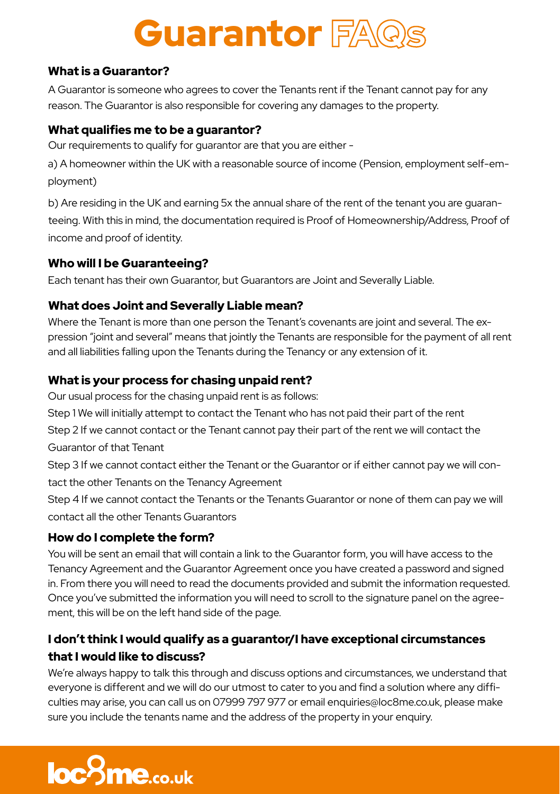# **Guarantor FAQS**

# What is a Guarantor?

A Guarantor is someone who agrees to cover the Tenants rent if the Tenant cannot pay for any reason. The Guarantor is also responsible for covering any damages to the property.

## What qualifies me to be a guarantor?

Our requirements to qualify for guarantor are that you are either -

a) A homeowner within the UK with a reasonable source of income (Pension, employment self-employment)

b) Are residing in the UK and earning 5x the annual share of the rent of the tenant you are guaranteeing. With this in mind, the documentation required is Proof of Homeownership/Address, Proof of income and proof of identity.

# Who will I be Guaranteeing?

Each tenant has their own Guarantor, but Guarantors are Joint and Severally Liable.

# What does Joint and Severally Liable mean?

Where the Tenant is more than one person the Tenant's covenants are joint and several. The expression "joint and several" means that jointly the Tenants are responsible for the payment of all rent and all liabilities falling upon the Tenants during the Tenancy or any extension of it.

# What is your process for chasing unpaid rent?

Our usual process for the chasing unpaid rent is as follows:

Step 1 We will initially attempt to contact the Tenant who has not paid their part of the rent

Step 2 If we cannot contact or the Tenant cannot pay their part of the rent we will contact the Guarantor of that Tenant

Step 3 If we cannot contact either the Tenant or the Guarantor or if either cannot pay we will contact the other Tenants on the Tenancy Agreement

Step 4 If we cannot contact the Tenants or the Tenants Guarantor or none of them can pay we will contact all the other Tenants Guarantors

# How do I complete the form?

You will be sent an email that will contain a link to the Guarantor form, you will have access to the Tenancy Agreement and the Guarantor Agreement once you have created a password and signed in. From there you will need to read the documents provided and submit the information requested. Once you've submitted the information you will need to scroll to the signature panel on the agreement, this will be on the left hand side of the page.

# I don't think I would qualify as a guarantor/I have exceptional circumstances that I would like to discuss?

We're always happy to talk this through and discuss options and circumstances, we understand that everyone is different and we will do our utmost to cater to you and find a solution where any difficulties may arise, you can call us on 07999 797 977 or email enquiries@loc8me.co.uk, please make sure you include the tenants name and the address of the property in your enquiry.